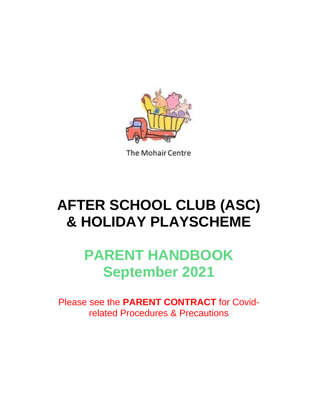

The Mohair Centre

# **AFTER SCHOOL CLUB (ASC) & HOLIDAY PLAYSCHEME**

# **PARENT HANDBOOK September 2021**

Please see the **PARENT CONTRACT** for Covidrelated Procedures & Precautions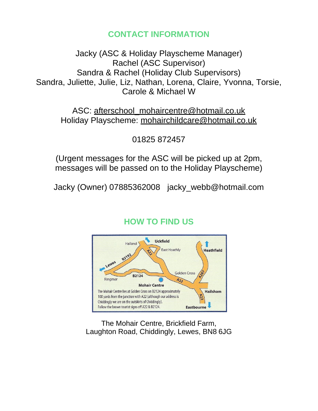# **CONTACT INFORMATION**

Jacky (ASC & Holiday Playscheme Manager) Rachel (ASC Supervisor) Sandra & Rachel (Holiday Club Supervisors) Sandra, Juliette, Julie, Liz, Nathan, Lorena, Claire, Yvonna, Torsie, Carole & Michael W

ASC: afterschool\_mohaircentre@hotmail.co.uk Holiday Playscheme: mohairchildcare@hotmail.co.uk

01825 872457

(Urgent messages for the ASC will be picked up at 2pm, messages will be passed on to the Holiday Playscheme)

Jacky (Owner) 07885362008 jacky\_webb@hotmail.com

# **HOW TO FIND US**



The Mohair Centre, Brickfield Farm, Laughton Road, Chiddingly, Lewes, BN8 6JG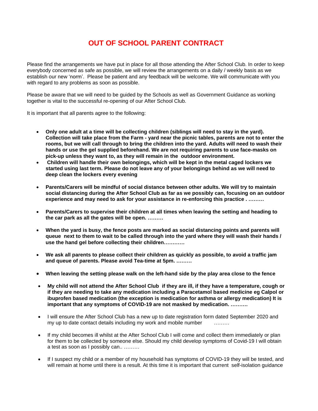# **OUT OF SCHOOL PARENT CONTRACT**

Please find the arrangements we have put in place for all those attending the After School Club. In order to keep everybody concerned as safe as possible, we will review the arrangements on a daily / weekly basis as we establish our new 'norm'. Please be patient and any feedback will be welcome. We will communicate with you with regard to any problems as soon as possible.

Please be aware that we will need to be guided by the Schools as well as Government Guidance as working together is vital to the successful re-opening of our After School Club.

It is important that all parents agree to the following:

- **Only one adult at a time will be collecting children (siblings will need to stay in the yard).**  Collection will take place from the Farm - yard near the picnic tables, parents are not to enter the rooms, but we will call through to bring the children into the yard. Adults will need to wash their **hands or use the gel supplied beforehand. We are not requiring parents to use face-masks on pick-up unless they want to, as they will remain in the outdoor environment.**
- **Children will handle their own belongings, which will be kept in the metal caged lockers we started using last term. Please do not leave any of your belongings behind as we will need to deep clean the lockers every evening**
- **Parents/Carers will be mindful of social distance between other adults. We will try to maintain social distancing during the After School Club as far as we possibly can, focusing on an outdoor experience and may need to ask for your assistance in re-enforcing this practice . ………**
- **Parents/Carers to supervise their children at all times when leaving the setting and heading to the car park as all the gates will be open. ………**
- **When the yard is busy, the fence posts are marked as social distancing points and parents will** queue next to them to wait to be called through into the yard where they will wash their hands / **use the hand gel before collecting their children…………**
- We ask all parents to please collect their children as quickly as possible, to avoid a traffic jam **and queue of parents. Please avoid Tea-time at 5pm. ………**
- **When leaving the setting please walk on the left-hand side by the play area close to the fence**
- My child will not attend the After School Club if they are ill, if they have a temperature, cough or **if they are needing to take any medication including a Paracetamol based medicine eg Calpol or ibuprofen based medication (the exception is medication for asthma or allergy medication) It is important that any symptoms of COVID-19 are not masked by medication. ……….**
- I will ensure the After School Club has a new up to date registration form dated September 2020 and my up to date contact details including my work and mobile number **........**
- If my child becomes ill whilst at the After School Club I will come and collect them immediately or plan for them to be collected by someone else. Should my child develop symptoms of Covid-19 I will obtain a test as soon as I possibly can.. ………
- If I suspect my child or a member of my household has symptoms of COVID-19 they will be tested, and will remain at home until there is a result. At this time it is important that current self-isolation guidance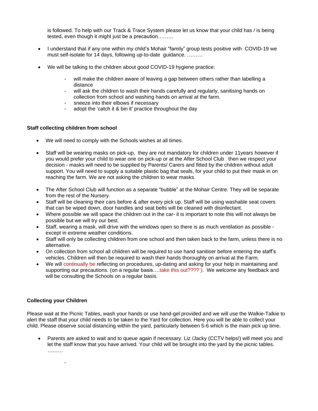is followed. To help with our Track & Trace System please let us know that your child has / is being tested, even though it might just be a precaution………

- I understand that if any one within my child's Mohair "family" group tests positive with COVID-19 we must self-isolate for 14 days, following up-to-date guidance. ………
- We will be talking to the children about good COVID-19 hygiene practice:
	- will make the children aware of leaving a gap between others rather than labelling a distance
	- will ask the children to wash their hands carefully and regularly, sanitising hands on collection from school and washing hands on arrival at the farm.
	- sneeze into their elbows if necessary
	- adopt the 'catch it & bin it' practice throughout the day

#### **Staff collecting children from school**

- We will need to comply with the Schools wishes at all times.
- Staff will be wearing masks on pick-up, they are not mandatory for children under 11years however if you would prefer your child to wear one on pick-up or at the After School Club then we respect your decision - masks will need to be supplied by Parents/ Carers and fitted by the children without adult support. You will need to supply a suitable plastic bag that seals, for your child to put their mask in on reaching the farm. We are not asking the children to wear masks.
- The After School Club will function as a separate "bubble" at the Mohair Centre. They will be separate from the rest of the Nursery.
- Staff will be cleaning their cars before & after every pick up. Staff will be using washable seat covers that can be wiped down, door handles and seat belts will be cleaned with disinfectant.
- Where possible we will space the children out in the car- it is important to note this will not always be possible but we will try our best.
- Staff, wearing a mask, will drive with the windows open so there is as much ventilation as possible except in extreme weather conditions.
- Staff will only be collecting children from one school and then taken back to the farm, unless there is no alternative.
- On collection from school all children will be required to use hand sanitiser before entering the staff's vehicles. Children will then be required to wash their hands thoroughly on arrival at the Farm.
- We will continually be reflecting on procedures, up-dating and asking for your help in maintaining and supporting our precautions. (on a regular basis...take this out????). We welcome any feedback and will be consulting the Schools on a regular basis.

#### **Collecting your Children**

-

Please wait at the Picnic Tables, wash your hands or use hand-gel provided and we will use the Walkie-Talkie to alert the staff that your child needs to be taken to the Yard for collection. Here you will be able to collect your child. Please observe social distancing within the yard, particularly between 5-6 which is the main pick up time.

• Parents are asked to wait and to queue again if necessary. Liz /Jacky (CCTV helps!) will meet you and let the staff know that you have arrived. Your child will be brought into the yard by the picnic tables. ………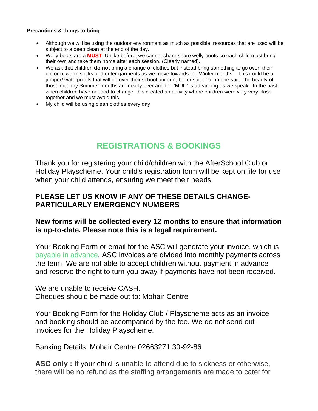#### **Precautions & things to bring**

- Although we will be using the outdoor environment as much as possible, resources that are used will be subject to a deep clean at the end of the day.
- Welly boots are a **MUST**. Unlike before, we cannot share spare welly boots so each child must bring their own and take them home after each session. (Clearly named).
- We ask that children **do not** bring a change of clothes but instead bring something to go over their uniform, warm socks and outer-garments as we move towards the Winter months. This could be a jumper/ waterproofs that will go over their school uniform, boiler suit or all in one suit. The beauty of those nice dry Summer months are nearly over and the 'MUD' is advancing as we speak! In the past when children have needed to change, this created an activity where children were very very close together and we must avoid this.
- My child will be using clean clothes every day

# **REGISTRATIONS & BOOKINGS**

Thank you for registering your child/children with the AfterSchool Club or Holiday Playscheme. Your child's registration form will be kept on file for use when your child attends, ensuring we meet their needs.

#### **PLEASE LET US KNOW IF ANY OF THESE DETAILS CHANGE-PARTICULARLY EMERGENCY NUMBERS**

#### **New forms will be collected every 12 months to ensure that information is up-to-date. Please note this is a legal requirement.**

Your Booking Form or email for the ASC will generate your invoice, which is payable in advance. ASC invoices are divided into monthly payments across the term. We are not able to accept children without payment in advance and reserve the right to turn you away if payments have not been received.

We are unable to receive CASH. Cheques should be made out to: Mohair Centre

Your Booking Form for the Holiday Club / Playscheme acts as an invoice and booking should be accompanied by the fee. We do not send out invoices for the Holiday Playscheme.

Banking Details: Mohair Centre 02663271 30-92-86

**ASC only :** If your child is unable to attend due to sickness or otherwise, there will be no refund as the staffing arrangements are made to cater for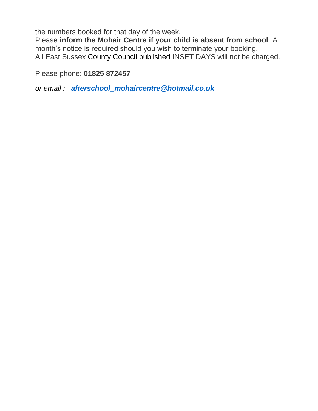the numbers booked for that day of the week.

Please **inform the Mohair Centre if your child is absent from school**. A month's notice is required should you wish to terminate your booking. All East Sussex County Council published INSET DAYS will not be charged.

Please phone: **01825 872457**

*or email : afterschool\_mohaircentre@hotmail.co.uk*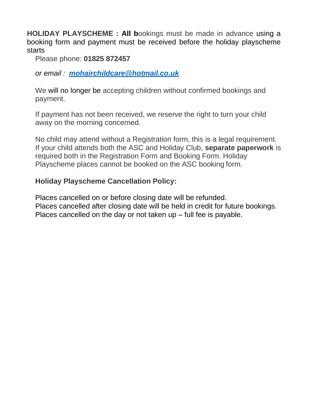**HOLIDAY PLAYSCHEME : All b**ookings must be made in advance using a booking form and payment must be received before the holiday playscheme starts

Please phone: **01825 872457**

*or email : mohairchildcare@hotmail.co.uk*

We will no longer be accepting children without confirmed bookings and payment.

If payment has not been received, we reserve the right to turn your child away on the morning concerned.

No child may attend without a Registration form, this is a legal requirement. If your child attends both the ASC and Holiday Club, **separate paperwork** is required both in the Registration Form and Booking Form. Holiday Playscheme places cannot be booked on the ASC booking form.

#### **Holiday Playscheme Cancellation Policy:**

Places cancelled on or before closing date will be refunded. Places cancelled after closing date will be held in credit for future bookings. Places cancelled on the day or not taken up – full fee is payable.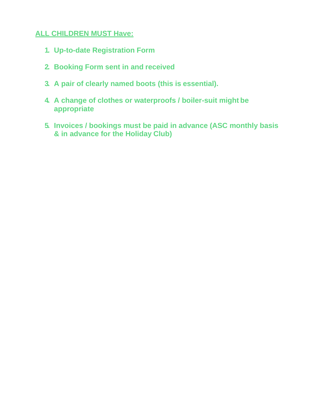#### **ALL CHILDREN MUST Have:**

- **1. Up-to-date Registration Form**
- **2. Booking Form sent in and received**
- **3. A pair of clearly named boots (this is essential).**
- **4. A change of clothes or waterproofs / boiler-suit might be appropriate**
- **5. Invoices / bookings must be paid in advance (ASC monthly basis & in advance for the Holiday Club)**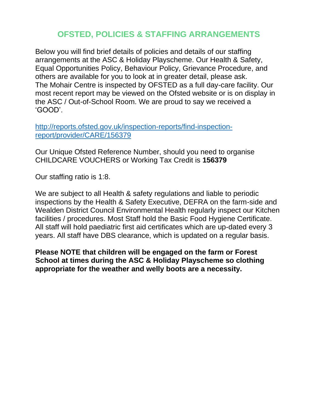# **OFSTED, POLICIES & STAFFING ARRANGEMENTS**

Below you will find brief details of policies and details of our staffing arrangements at the ASC & Holiday Playscheme. Our Health & Safety, Equal Opportunities Policy, Behaviour Policy, Grievance Procedure, and others are available for you to look at in greater detail, please ask. The Mohair Centre is inspected by OFSTED as a full day-care facility. Our most recent report may be viewed on the Ofsted website or is on display in the ASC / Out-of-School Room. We are proud to say we received a 'GOOD'.

http://reports.ofsted.gov.uk/inspection-reports/find-inspectionreport/provider/CARE/156379

Our Unique Ofsted Reference Number, should you need to organise CHILDCARE VOUCHERS or Working Tax Credit is **156379**

Our staffing ratio is 1:8.

We are subject to all Health & safety regulations and liable to periodic inspections by the Health & Safety Executive, DEFRA on the farm-side and Wealden District Council Environmental Health regularly inspect our Kitchen facilities / procedures. Most Staff hold the Basic Food Hygiene Certificate. All staff will hold paediatric first aid certificates which are up-dated every 3 years. All staff have DBS clearance, which is updated on a regular basis.

**Please NOTE that children will be engaged on the farm or Forest School at times during the ASC & Holiday Playscheme so clothing appropriate for the weather and welly boots are a necessity.**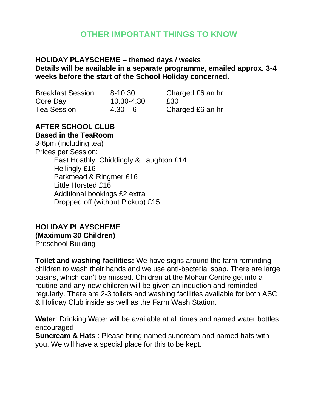# **OTHER IMPORTANT THINGS TO KNOW**

#### **HOLIDAY PLAYSCHEME – themed days / weeks Details will be available in a separate programme, emailed approx. 3-4 weeks before the start of the School Holiday concerned.**

| <b>Breakfast Session</b><br>Core Day<br>Tea Session | 8-10.30                  | Cha        |
|-----------------------------------------------------|--------------------------|------------|
|                                                     | 10.30-4.30<br>$4.30 - 6$ | £30<br>Cha |

Charged £6 an hr Charged £6 an hr

#### **AFTER SCHOOL CLUB Based in the TeaRoom**

3-6pm (including tea) Prices per Session: East Hoathly, Chiddingly & Laughton £14 Hellingly £16 Parkmead & Ringmer £16 Little Horsted £16 Additional bookings £2 extra Dropped off (without Pickup) £15

# **HOLIDAY PLAYSCHEME**

#### **(Maximum 30 Children)**

Preschool Building

**Toilet and washing facilities:** We have signs around the farm reminding children to wash their hands and we use anti-bacterial soap. There are large basins, which can't be missed. Children at the Mohair Centre get into a routine and any new children will be given an induction and reminded regularly. There are 2-3 toilets and washing facilities available for both ASC & Holiday Club inside as well as the Farm Wash Station.

**Water**: Drinking Water will be available at all times and named water bottles encouraged

**Suncream & Hats** : Please bring named suncream and named hats with you. We will have a special place for this to be kept.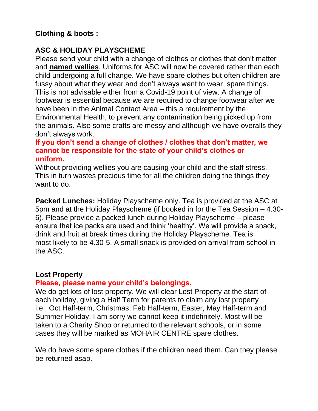# **Clothing & boots :**

### **ASC & HOLIDAY PLAYSCHEME**

Please send your child with a change of clothes or clothes that don't matter and **named wellies**. Uniforms for ASC will now be covered rather than each child undergoing a full change. We have spare clothes but often children are fussy about what they wear and don't always want to wear spare things. This is not advisable either from a Covid-19 point of view. A change of footwear is essential because we are required to change footwear after we have been in the Animal Contact Area – this a requirement by the Environmental Health, to prevent any contamination being picked up from the animals. Also some crafts are messy and although we have overalls they don't always work.

#### **If you don't send a change of clothes / clothes that don't matter, we cannot be responsible for the state of your child's clothes or uniform.**

Without providing wellies you are causing your child and the staff stress. This in turn wastes precious time for all the children doing the things they want to do.

**Packed Lunches:** Holiday Playscheme only. Tea is provided at the ASC at 5pm and at the Holiday Playscheme (if booked in for the Tea Session – 4.30- 6). Please provide a packed lunch during Holiday Playscheme – please ensure that ice packs are used and think 'healthy'. We will provide a snack, drink and fruit at break times during the Holiday Playscheme. Tea is most likely to be 4.30-5. A small snack is provided on arrival from school in the ASC.

#### **Lost Property**

#### **Please, please name your child's belongings.**

We do get lots of lost property. We will clear Lost Property at the start of each holiday, giving a Half Term for parents to claim any lost property i.e.; Oct Half-term, Christmas, Feb Half-term, Easter, May Half-term and Summer Holiday. I am sorry we cannot keep it indefinitely. Most will be taken to a Charity Shop or returned to the relevant schools, or in some cases they will be marked as MOHAIR CENTRE spare clothes.

We do have some spare clothes if the children need them. Can they please be returned asap.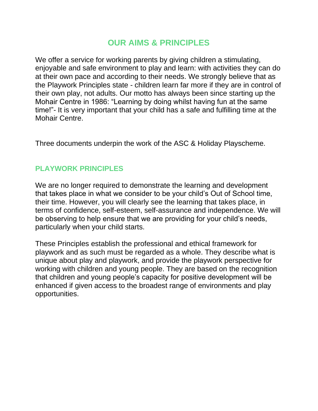# **OUR AIMS & PRINCIPLES**

We offer a service for working parents by giving children a stimulating, enjoyable and safe environment to play and learn: with activities they can do at their own pace and according to their needs. We strongly believe that as the Playwork Principles state - children learn far more if they are in control of their own play, not adults. Our motto has always been since starting up the Mohair Centre in 1986: "Learning by doing whilst having fun at the same time!"- It is very important that your child has a safe and fulfilling time at the Mohair Centre.

Three documents underpin the work of the ASC & Holiday Playscheme.

# **PLAYWORK PRINCIPLES**

We are no longer required to demonstrate the learning and development that takes place in what we consider to be your child's Out of School time, their time. However, you will clearly see the learning that takes place, in terms of confidence, self-esteem, self-assurance and independence. We will be observing to help ensure that we are providing for your child's needs, particularly when your child starts.

These Principles establish the professional and ethical framework for playwork and as such must be regarded as a whole. They describe what is unique about play and playwork, and provide the playwork perspective for working with children and young people. They are based on the recognition that children and young people's capacity for positive development will be enhanced if given access to the broadest range of environments and play opportunities.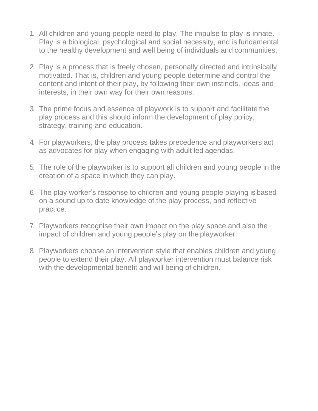- 1. All children and young people need to play. The impulse to play is innate. Play is a biological, psychological and social necessity, and is fundamental to the healthy development and well being of individuals and communities.
- 2. Play is a process that is freely chosen, personally directed and intrinsically motivated. That is, children and young people determine and control the content and intent of their play, by following their own instincts, ideas and interests, in their own way for their own reasons.
- 3. The prime focus and essence of playwork is to support and facilitate the play process and this should inform the development of play policy, strategy, training and education.
- 4. For playworkers, the play process takes precedence and playworkers act as advocates for play when engaging with adult led agendas.
- 5. The role of the playworker is to support all children and young people in the creation of a space in which they can play.
- 6. The play worker's response to children and young people playing is based on a sound up to date knowledge of the play process, and reflective practice.
- 7. Playworkers recognise their own impact on the play space and also the impact of children and young people's play on the playworker.
- 8. Playworkers choose an intervention style that enables children and young people to extend their play. All playworker intervention must balance risk with the developmental benefit and will being of children.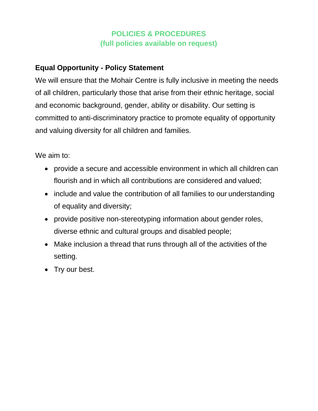# **POLICIES & PROCEDURES (full policies available on request)**

# **Equal Opportunity - Policy Statement**

We will ensure that the Mohair Centre is fully inclusive in meeting the needs of all children, particularly those that arise from their ethnic heritage, social and economic background, gender, ability or disability. Our setting is committed to anti-discriminatory practice to promote equality of opportunity and valuing diversity for all children and families.

We aim to:

- provide a secure and accessible environment in which all children can flourish and in which all contributions are considered and valued;
- include and value the contribution of all families to our understanding of equality and diversity;
- provide positive non-stereotyping information about gender roles, diverse ethnic and cultural groups and disabled people;
- Make inclusion a thread that runs through all of the activities of the setting.
- Try our best.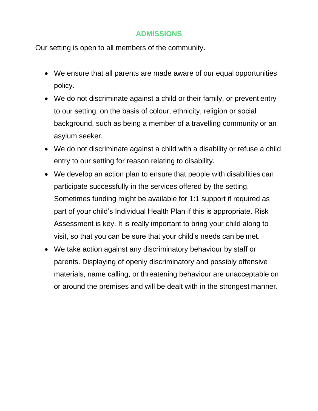#### **ADMISSIONS**

Our setting is open to all members of the community.

- We ensure that all parents are made aware of our equal opportunities policy.
- We do not discriminate against a child or their family, or prevent entry to our setting, on the basis of colour, ethnicity, religion or social background, such as being a member of a travelling community or an asylum seeker.
- We do not discriminate against a child with a disability or refuse a child entry to our setting for reason relating to disability.
- We develop an action plan to ensure that people with disabilities can participate successfully in the services offered by the setting. Sometimes funding might be available for 1:1 support if required as part of your child's Individual Health Plan if this is appropriate. Risk Assessment is key. It is really important to bring your child along to visit, so that you can be sure that your child's needs can be met.
- We take action against any discriminatory behaviour by staff or parents. Displaying of openly discriminatory and possibly offensive materials, name calling, or threatening behaviour are unacceptable on or around the premises and will be dealt with in the strongest manner.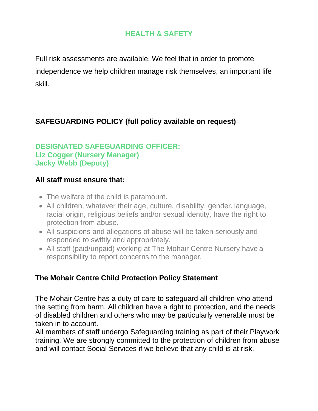# **HEALTH & SAFETY**

Full risk assessments are available. We feel that in order to promote independence we help children manage risk themselves, an important life skill.

# **SAFEGUARDING POLICY (full policy available on request)**

#### **DESIGNATED SAFEGUARDING OFFICER: Liz Cogger (Nursery Manager) Jacky Webb (Deputy)**

#### **All staff must ensure that:**

- The welfare of the child is paramount.
- All children, whatever their age, culture, disability, gender, language, racial origin, religious beliefs and/or sexual identity, have the right to protection from abuse.
- All suspicions and allegations of abuse will be taken seriously and responded to swiftly and appropriately.
- All staff (paid/unpaid) working at The Mohair Centre Nursery have a responsibility to report concerns to the manager.

### **The Mohair Centre Child Protection Policy Statement**

The Mohair Centre has a duty of care to safeguard all children who attend the setting from harm. All children have a right to protection, and the needs of disabled children and others who may be particularly venerable must be taken in to account.

All members of staff undergo Safeguarding training as part of their Playwork training. We are strongly committed to the protection of children from abuse and will contact Social Services if we believe that any child is at risk.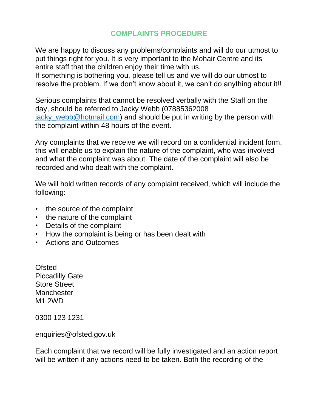### **COMPLAINTS PROCEDURE**

We are happy to discuss any problems/complaints and will do our utmost to put things right for you. It is very important to the Mohair Centre and its entire staff that the children enjoy their time with us.

If something is bothering you, please tell us and we will do our utmost to resolve the problem. If we don't know about it, we can't do anything about it!!

Serious complaints that cannot be resolved verbally with the Staff on the day, should be referred to Jacky Webb (07885362008 jacky\_webb@hotmail.com) and should be put in writing by the person with the complaint within 48 hours of the event.

Any complaints that we receive we will record on a confidential incident form, this will enable us to explain the nature of the complaint, who was involved and what the complaint was about. The date of the complaint will also be recorded and who dealt with the complaint.

We will hold written records of any complaint received, which will include the following:

- the source of the complaint
- the nature of the complaint
- Details of the complaint
- How the complaint is being or has been dealt with
- Actions and Outcomes

**Ofsted** Piccadilly Gate Store Street **Manchester** M1 2WD

0300 123 1231

enquiries@ofsted.gov.uk

Each complaint that we record will be fully investigated and an action report will be written if any actions need to be taken. Both the recording of the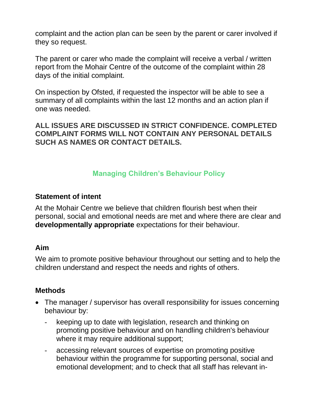complaint and the action plan can be seen by the parent or carer involved if they so request.

The parent or carer who made the complaint will receive a verbal / written report from the Mohair Centre of the outcome of the complaint within 28 days of the initial complaint.

On inspection by Ofsted, if requested the inspector will be able to see a summary of all complaints within the last 12 months and an action plan if one was needed.

**ALL ISSUES ARE DISCUSSED IN STRICT CONFIDENCE. COMPLETED COMPLAINT FORMS WILL NOT CONTAIN ANY PERSONAL DETAILS SUCH AS NAMES OR CONTACT DETAILS.**

### **Managing Children's Behaviour Policy**

#### **Statement of intent**

At the Mohair Centre we believe that children flourish best when their personal, social and emotional needs are met and where there are clear and **developmentally appropriate** expectations for their behaviour.

#### **Aim**

We aim to promote positive behaviour throughout our setting and to help the children understand and respect the needs and rights of others.

#### **Methods**

- The manager / supervisor has overall responsibility for issues concerning behaviour by:
	- keeping up to date with legislation, research and thinking on promoting positive behaviour and on handling children's behaviour where it may require additional support;
	- accessing relevant sources of expertise on promoting positive behaviour within the programme for supporting personal, social and emotional development; and to check that all staff has relevant in-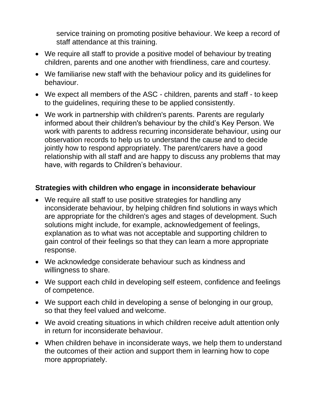service training on promoting positive behaviour. We keep a record of staff attendance at this training.

- We require all staff to provide a positive model of behaviour by treating children, parents and one another with friendliness, care and courtesy.
- We familiarise new staff with the behaviour policy and its guidelines for behaviour.
- We expect all members of the ASC children, parents and staff to keep to the guidelines, requiring these to be applied consistently.
- We work in partnership with children's parents. Parents are regularly informed about their children's behaviour by the child's Key Person. We work with parents to address recurring inconsiderate behaviour, using our observation records to help us to understand the cause and to decide jointly how to respond appropriately. The parent/carers have a good relationship with all staff and are happy to discuss any problems that may have, with regards to Children's behaviour.

### **Strategies with children who engage in inconsiderate behaviour**

- We require all staff to use positive strategies for handling any inconsiderate behaviour, by helping children find solutions in ways which are appropriate for the children's ages and stages of development. Such solutions might include, for example, acknowledgement of feelings, explanation as to what was not acceptable and supporting children to gain control of their feelings so that they can learn a more appropriate response.
- We acknowledge considerate behaviour such as kindness and willingness to share.
- We support each child in developing self esteem, confidence and feelings of competence.
- We support each child in developing a sense of belonging in our group, so that they feel valued and welcome.
- We avoid creating situations in which children receive adult attention only in return for inconsiderate behaviour.
- When children behave in inconsiderate ways, we help them to understand the outcomes of their action and support them in learning how to cope more appropriately.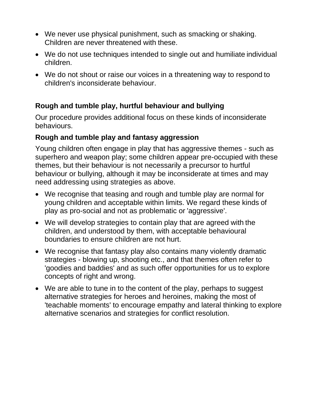- We never use physical punishment, such as smacking or shaking. Children are never threatened with these.
- We do not use techniques intended to single out and humiliate individual children.
- We do not shout or raise our voices in a threatening way to respond to children's inconsiderate behaviour.

# **Rough and tumble play, hurtful behaviour and bullying**

Our procedure provides additional focus on these kinds of inconsiderate behaviours.

#### **Rough and tumble play and fantasy aggression**

Young children often engage in play that has aggressive themes - such as superhero and weapon play; some children appear pre-occupied with these themes, but their behaviour is not necessarily a precursor to hurtful behaviour or bullying, although it may be inconsiderate at times and may need addressing using strategies as above.

- We recognise that teasing and rough and tumble play are normal for young children and acceptable within limits. We regard these kinds of play as pro-social and not as problematic or 'aggressive'.
- We will develop strategies to contain play that are agreed with the children, and understood by them, with acceptable behavioural boundaries to ensure children are not hurt.
- We recognise that fantasy play also contains many violently dramatic strategies - blowing up, shooting etc., and that themes often refer to 'goodies and baddies' and as such offer opportunities for us to explore concepts of right and wrong.
- We are able to tune in to the content of the play, perhaps to suggest alternative strategies for heroes and heroines, making the most of 'teachable moments' to encourage empathy and lateral thinking to explore alternative scenarios and strategies for conflict resolution.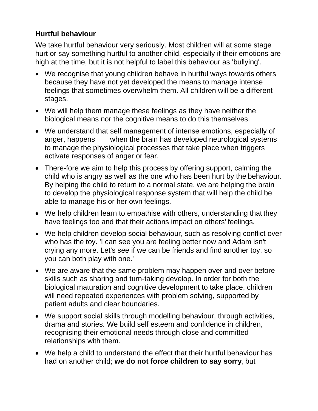# **Hurtful behaviour**

We take hurtful behaviour very seriously. Most children will at some stage hurt or say something hurtful to another child, especially if their emotions are high at the time, but it is not helpful to label this behaviour as 'bullying'.

- We recognise that young children behave in hurtful ways towards others because they have not yet developed the means to manage intense feelings that sometimes overwhelm them. All children will be a different stages.
- We will help them manage these feelings as they have neither the biological means nor the cognitive means to do this themselves.
- We understand that self management of intense emotions, especially of anger, happens when the brain has developed neurological systems to manage the physiological processes that take place when triggers activate responses of anger or fear.
- There-fore we aim to help this process by offering support, calming the child who is angry as well as the one who has been hurt by the behaviour. By helping the child to return to a normal state, we are helping the brain to develop the physiological response system that will help the child be able to manage his or her own feelings.
- We help children learn to empathise with others, understanding that they have feelings too and that their actions impact on others' feelings.
- We help children develop social behaviour, such as resolving conflict over who has the toy. 'I can see you are feeling better now and Adam isn't crying any more. Let's see if we can be friends and find another toy, so you can both play with one.'
- We are aware that the same problem may happen over and over before skills such as sharing and turn-taking develop. In order for both the biological maturation and cognitive development to take place, children will need repeated experiences with problem solving, supported by patient adults and clear boundaries.
- We support social skills through modelling behaviour, through activities, drama and stories. We build self esteem and confidence in children, recognising their emotional needs through close and committed relationships with them.
- We help a child to understand the effect that their hurtful behaviour has had on another child; **we do not force children to say sorry**, but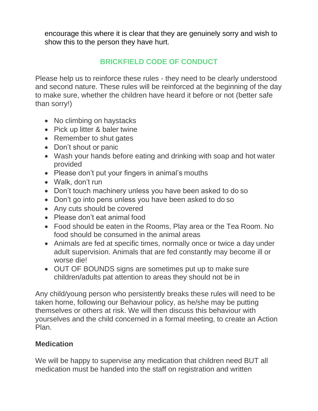encourage this where it is clear that they are genuinely sorry and wish to show this to the person they have hurt.

# **BRICKFIELD CODE OF CONDUCT**

Please help us to reinforce these rules - they need to be clearly understood and second nature. These rules will be reinforced at the beginning of the day to make sure, whether the children have heard it before or not (better safe than sorry!)

- No climbing on haystacks
- Pick up litter & baler twine
- Remember to shut gates
- Don't shout or panic
- Wash your hands before eating and drinking with soap and hot water provided
- Please don't put your fingers in animal's mouths
- Walk, don't run
- Don't touch machinery unless you have been asked to do so
- Don't go into pens unless you have been asked to do so
- Any cuts should be covered
- Please don't eat animal food
- Food should be eaten in the Rooms, Play area or the Tea Room. No food should be consumed in the animal areas
- Animals are fed at specific times, normally once or twice a day under adult supervision. Animals that are fed constantly may become ill or worse die!
- OUT OF BOUNDS signs are sometimes put up to make sure children/adults pat attention to areas they should not be in

Any child/young person who persistently breaks these rules will need to be taken home, following our Behaviour policy, as he/she may be putting themselves or others at risk. We will then discuss this behaviour with yourselves and the child concerned in a formal meeting, to create an Action Plan.

### **Medication**

We will be happy to supervise any medication that children need BUT all medication must be handed into the staff on registration and written